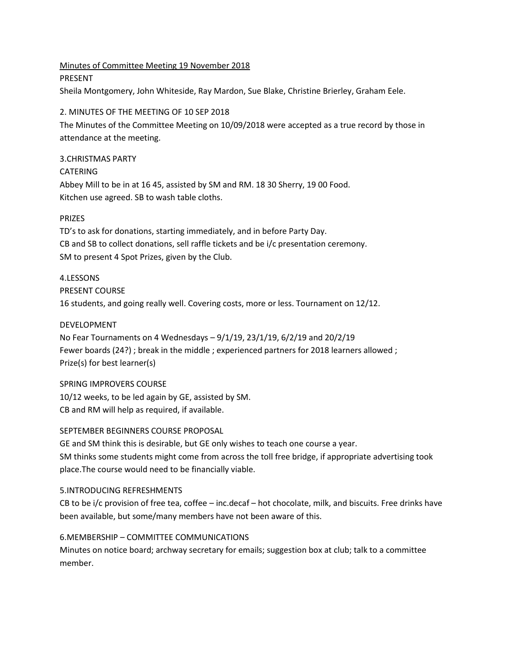Minutes of Committee Meeting 19 November 2018 PRESENT Sheila Montgomery, John Whiteside, Ray Mardon, Sue Blake, Christine Brierley, Graham Eele.

### 2. MINUTES OF THE MEETING OF 10 SEP 2018

The Minutes of the Committee Meeting on 10/09/2018 were accepted as a true record by those in attendance at the meeting.

# 3.CHRISTMAS PARTY

CATERING Abbey Mill to be in at 16 45, assisted by SM and RM. 18 30 Sherry, 19 00 Food. Kitchen use agreed. SB to wash table cloths.

# PRIZES

TD's to ask for donations, starting immediately, and in before Party Day. CB and SB to collect donations, sell raffle tickets and be i/c presentation ceremony. SM to present 4 Spot Prizes, given by the Club.

### 4.LESSONS

PRESENT COURSE

16 students, and going really well. Covering costs, more or less. Tournament on 12/12.

### DEVELOPMENT

No Fear Tournaments on 4 Wednesdays – 9/1/19, 23/1/19, 6/2/19 and 20/2/19 Fewer boards (24?); break in the middle; experienced partners for 2018 learners allowed; Prize(s) for best learner(s)

### SPRING IMPROVERS COURSE

10/12 weeks, to be led again by GE, assisted by SM. CB and RM will help as required, if available.

### SEPTEMBER BEGINNERS COURSE PROPOSAL

GE and SM think this is desirable, but GE only wishes to teach one course a year. SM thinks some students might come from across the toll free bridge, if appropriate advertising took place.The course would need to be financially viable.

### 5.INTRODUCING REFRESHMENTS

CB to be i/c provision of free tea, coffee – inc.decaf – hot chocolate, milk, and biscuits. Free drinks have been available, but some/many members have not been aware of this.

# 6.MEMBERSHIP – COMMITTEE COMMUNICATIONS

Minutes on notice board; archway secretary for emails; suggestion box at club; talk to a committee member.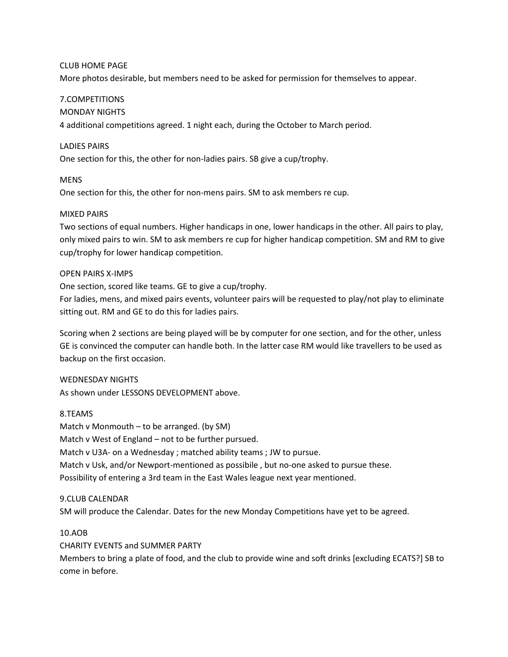#### CLUB HOME PAGE

More photos desirable, but members need to be asked for permission for themselves to appear.

### 7.COMPETITIONS

#### MONDAY NIGHTS

4 additional competitions agreed. 1 night each, during the October to March period.

#### LADIES PAIRS

One section for this, the other for non-ladies pairs. SB give a cup/trophy.

### MENS

One section for this, the other for non-mens pairs. SM to ask members re cup.

#### MIXED PAIRS

Two sections of equal numbers. Higher handicaps in one, lower handicaps in the other. All pairs to play, only mixed pairs to win. SM to ask members re cup for higher handicap competition. SM and RM to give cup/trophy for lower handicap competition.

#### OPEN PAIRS X-IMPS

One section, scored like teams. GE to give a cup/trophy.

For ladies, mens, and mixed pairs events, volunteer pairs will be requested to play/not play to eliminate sitting out. RM and GE to do this for ladies pairs.

Scoring when 2 sections are being played will be by computer for one section, and for the other, unless GE is convinced the computer can handle both. In the latter case RM would like travellers to be used as backup on the first occasion.

#### WEDNESDAY NIGHTS

As shown under LESSONS DEVELOPMENT above.

#### 8.TEAMS

Match v Monmouth – to be arranged. (by SM) Match v West of England – not to be further pursued. Match v U3A- on a Wednesday ; matched ability teams ; JW to pursue. Match v Usk, and/or Newport-mentioned as possibile , but no-one asked to pursue these. Possibility of entering a 3rd team in the East Wales league next year mentioned.

#### 9.CLUB CALENDAR

SM will produce the Calendar. Dates for the new Monday Competitions have yet to be agreed.

### 10.AOB

### CHARITY EVENTS and SUMMER PARTY

Members to bring a plate of food, and the club to provide wine and soft drinks [excluding ECATS?] SB to come in before.